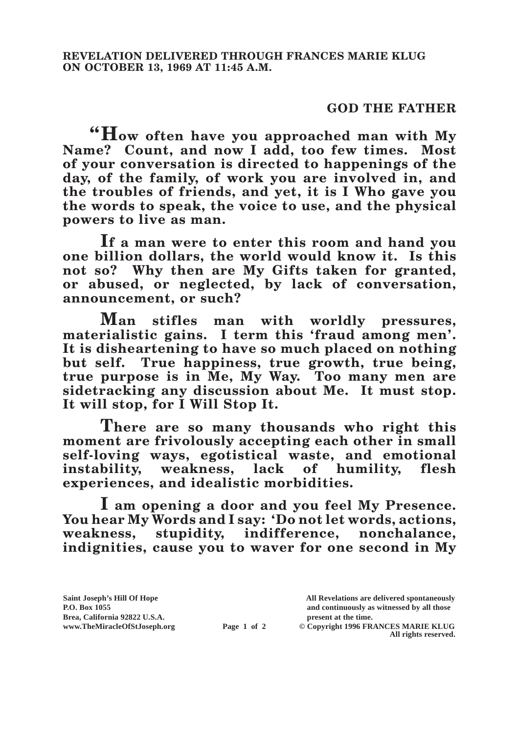## **GOD THE FATHER**

**"How often have you approached man with My**  Name? Count, and now I add, too few times. Most **of your conversation is directed to happenings of the day, of the family, of work you are involved in, and the troubles of friends, and yet, it is I Who gave you the words to speak, the voice to use, and the physical powers to live as man.**

**If a man were to enter this room and hand you one billion dollars, the world would know it. Is this not so? Why then are My Gifts taken for granted, or abused, or neglected, by lack of conversation, announcement, or such?**

**Man stifles man with worldly pressures, materialistic gains. I term this 'fraud among men'. It is disheartening to have so much placed on nothing but self. True happiness, true growth, true being, true purpose is in Me, My Way. Too many men are sidetracking any discussion about Me. It must stop. It will stop, for I Will Stop It.**

**There are so many thousands who right this moment are frivolously accepting each other in small self-loving ways, egotistical waste, and emotional instability, weakness, lack of humility, flesh experiences, and idealistic morbidities.**

**I am opening a door and you feel My Presence. You hear My Words and I say: 'Do not let words, actions, weakness, stupidity, indifference, nonchalance, indignities, cause you to waver for one second in My** 

**P.O. Box 1055 and continuously as witnessed by all those** 

**Page 1 of 2** © Copyright 1996 FRANCES MARIE KLUG **All rights reserved.**